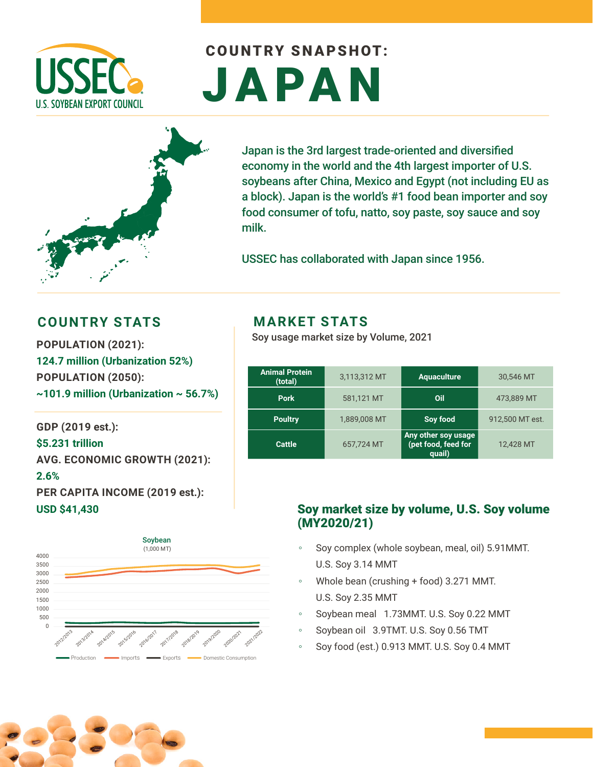

# COUNTRY SNAPSHOT: JAPAN



Japan is the 3rd largest trade-oriented and diversified economy in the world and the 4th largest importer of U.S. soybeans after China, Mexico and Egypt (not including EU as a block). Japan is the world's #1 food bean importer and soy food consumer of tofu, natto, soy paste, soy sauce and soy milk.

USSEC has collaborated with Japan since 1956.

#### **COUNTRY STATS MARKET STATS**

**POPULATION (2021): 124.7 million (Urbanization 52%) POPULATION (2050): ~101.9 million (Urbanization ~ 56.7%)** 

**GDP (2019 est.): \$5.231 trillion AVG. ECONOMIC GROWTH (2021): 2.6% PER CAPITA INCOME (2019 est.): USD \$41,430**



Soy usage market size by Volume, 2021

| <b>Animal Protein</b><br>(total) | 3,113,312 MT | <b>Aquaculture</b>                                   | 30,546 MT       |
|----------------------------------|--------------|------------------------------------------------------|-----------------|
| <b>Pork</b>                      | 581,121 MT   | Oil                                                  | 473,889 MT      |
| <b>Poultry</b>                   | 1,889,008 MT | Soy food                                             | 912,500 MT est. |
| <b>Cattle</b>                    | 657,724 MT   | Any other soy usage<br>(pet food, feed for<br>quail) | 12,428 MT       |

#### Soy market size by volume, U.S. Soy volume (MY2020/21)

- Soy complex (whole soybean, meal, oil) 5.91 MMT. U.S. Soy 3.14 MMT
- Whole bean (crushing + food) 3.271 MMT. U.S. Soy 2.35 MMT
- Soybean meal 1.73MMT. U.S. Soy 0.22 MMT
- Soybean oil 3.9TMT. U.S. Soy 0.56 TMT
- Soy food (est.) 0.913 MMT. U.S. Soy 0.4 MMT